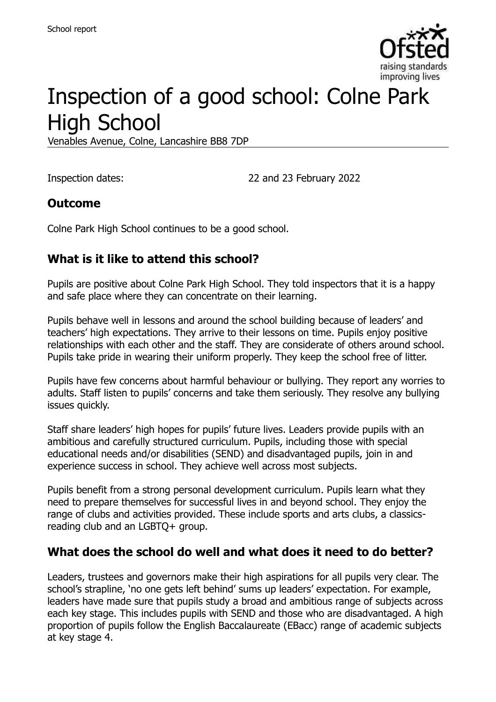

# Inspection of a good school: Colne Park High School

Venables Avenue, Colne, Lancashire BB8 7DP

Inspection dates: 22 and 23 February 2022

#### **Outcome**

Colne Park High School continues to be a good school.

## **What is it like to attend this school?**

Pupils are positive about Colne Park High School. They told inspectors that it is a happy and safe place where they can concentrate on their learning.

Pupils behave well in lessons and around the school building because of leaders' and teachers' high expectations. They arrive to their lessons on time. Pupils enjoy positive relationships with each other and the staff. They are considerate of others around school. Pupils take pride in wearing their uniform properly. They keep the school free of litter.

Pupils have few concerns about harmful behaviour or bullying. They report any worries to adults. Staff listen to pupils' concerns and take them seriously. They resolve any bullying issues quickly.

Staff share leaders' high hopes for pupils' future lives. Leaders provide pupils with an ambitious and carefully structured curriculum. Pupils, including those with special educational needs and/or disabilities (SEND) and disadvantaged pupils, join in and experience success in school. They achieve well across most subjects.

Pupils benefit from a strong personal development curriculum. Pupils learn what they need to prepare themselves for successful lives in and beyond school. They enjoy the range of clubs and activities provided. These include sports and arts clubs, a classicsreading club and an LGBTQ+ group.

### **What does the school do well and what does it need to do better?**

Leaders, trustees and governors make their high aspirations for all pupils very clear. The school's strapline, 'no one gets left behind' sums up leaders' expectation. For example, leaders have made sure that pupils study a broad and ambitious range of subjects across each key stage. This includes pupils with SEND and those who are disadvantaged. A high proportion of pupils follow the English Baccalaureate (EBacc) range of academic subjects at key stage 4.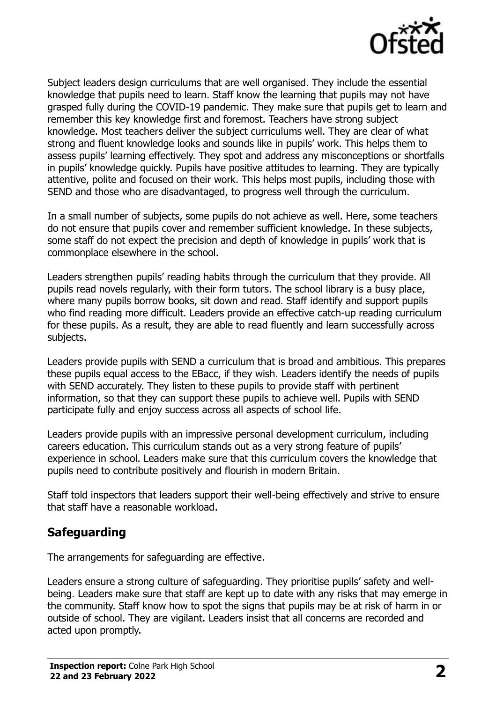

Subject leaders design curriculums that are well organised. They include the essential knowledge that pupils need to learn. Staff know the learning that pupils may not have grasped fully during the COVID-19 pandemic. They make sure that pupils get to learn and remember this key knowledge first and foremost. Teachers have strong subject knowledge. Most teachers deliver the subject curriculums well. They are clear of what strong and fluent knowledge looks and sounds like in pupils' work. This helps them to assess pupils' learning effectively. They spot and address any misconceptions or shortfalls in pupils' knowledge quickly. Pupils have positive attitudes to learning. They are typically attentive, polite and focused on their work. This helps most pupils, including those with SEND and those who are disadvantaged, to progress well through the curriculum.

In a small number of subjects, some pupils do not achieve as well. Here, some teachers do not ensure that pupils cover and remember sufficient knowledge. In these subjects, some staff do not expect the precision and depth of knowledge in pupils' work that is commonplace elsewhere in the school.

Leaders strengthen pupils' reading habits through the curriculum that they provide. All pupils read novels regularly, with their form tutors. The school library is a busy place, where many pupils borrow books, sit down and read. Staff identify and support pupils who find reading more difficult. Leaders provide an effective catch-up reading curriculum for these pupils. As a result, they are able to read fluently and learn successfully across subjects.

Leaders provide pupils with SEND a curriculum that is broad and ambitious. This prepares these pupils equal access to the EBacc, if they wish. Leaders identify the needs of pupils with SEND accurately. They listen to these pupils to provide staff with pertinent information, so that they can support these pupils to achieve well. Pupils with SEND participate fully and enjoy success across all aspects of school life.

Leaders provide pupils with an impressive personal development curriculum, including careers education. This curriculum stands out as a very strong feature of pupils' experience in school. Leaders make sure that this curriculum covers the knowledge that pupils need to contribute positively and flourish in modern Britain.

Staff told inspectors that leaders support their well-being effectively and strive to ensure that staff have a reasonable workload.

### **Safeguarding**

The arrangements for safeguarding are effective.

Leaders ensure a strong culture of safeguarding. They prioritise pupils' safety and wellbeing. Leaders make sure that staff are kept up to date with any risks that may emerge in the community. Staff know how to spot the signs that pupils may be at risk of harm in or outside of school. They are vigilant. Leaders insist that all concerns are recorded and acted upon promptly.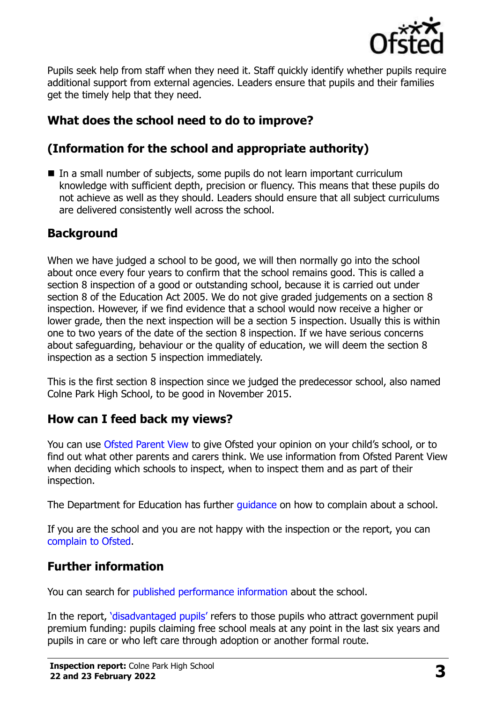

Pupils seek help from staff when they need it. Staff quickly identify whether pupils require additional support from external agencies. Leaders ensure that pupils and their families get the timely help that they need.

## **What does the school need to do to improve?**

## **(Information for the school and appropriate authority)**

■ In a small number of subjects, some pupils do not learn important curriculum knowledge with sufficient depth, precision or fluency. This means that these pupils do not achieve as well as they should. Leaders should ensure that all subject curriculums are delivered consistently well across the school.

## **Background**

When we have judged a school to be good, we will then normally go into the school about once every four years to confirm that the school remains good. This is called a section 8 inspection of a good or outstanding school, because it is carried out under section 8 of the Education Act 2005. We do not give graded judgements on a section 8 inspection. However, if we find evidence that a school would now receive a higher or lower grade, then the next inspection will be a section 5 inspection. Usually this is within one to two years of the date of the section 8 inspection. If we have serious concerns about safeguarding, behaviour or the quality of education, we will deem the section 8 inspection as a section 5 inspection immediately.

This is the first section 8 inspection since we judged the predecessor school, also named Colne Park High School, to be good in November 2015.

## **How can I feed back my views?**

You can use [Ofsted Parent View](https://parentview.ofsted.gov.uk/) to give Ofsted your opinion on your child's school, or to find out what other parents and carers think. We use information from Ofsted Parent View when deciding which schools to inspect, when to inspect them and as part of their inspection.

The Department for Education has further *guidance* on how to complain about a school.

If you are the school and you are not happy with the inspection or the report, you can [complain to Ofsted.](https://www.gov.uk/complain-ofsted-report)

## **Further information**

You can search for [published performance information](http://www.compare-school-performance.service.gov.uk/) about the school.

In the report, '[disadvantaged pupils](http://www.gov.uk/guidance/pupil-premium-information-for-schools-and-alternative-provision-settings)' refers to those pupils who attract government pupil premium funding: pupils claiming free school meals at any point in the last six years and pupils in care or who left care through adoption or another formal route.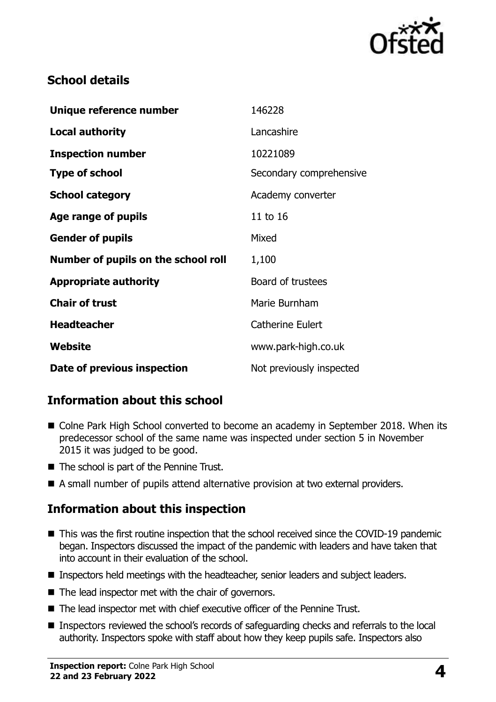

## **School details**

| Unique reference number             | 146228                   |
|-------------------------------------|--------------------------|
| <b>Local authority</b>              | Lancashire               |
| <b>Inspection number</b>            | 10221089                 |
| <b>Type of school</b>               | Secondary comprehensive  |
| <b>School category</b>              | Academy converter        |
| Age range of pupils                 | 11 to 16                 |
| <b>Gender of pupils</b>             | Mixed                    |
| Number of pupils on the school roll | 1,100                    |
| <b>Appropriate authority</b>        | Board of trustees        |
| <b>Chair of trust</b>               | Marie Burnham            |
| <b>Headteacher</b>                  | <b>Catherine Eulert</b>  |
| Website                             | www.park-high.co.uk      |
| Date of previous inspection         | Not previously inspected |

## **Information about this school**

- Colne Park High School converted to become an academy in September 2018. When its predecessor school of the same name was inspected under section 5 in November 2015 it was judged to be good.
- The school is part of the Pennine Trust.
- A small number of pupils attend alternative provision at two external providers.

## **Information about this inspection**

- This was the first routine inspection that the school received since the COVID-19 pandemic began. Inspectors discussed the impact of the pandemic with leaders and have taken that into account in their evaluation of the school.
- Inspectors held meetings with the headteacher, senior leaders and subject leaders.
- The lead inspector met with the chair of governors.
- The lead inspector met with chief executive officer of the Pennine Trust.
- Inspectors reviewed the school's records of safeguarding checks and referrals to the local authority. Inspectors spoke with staff about how they keep pupils safe. Inspectors also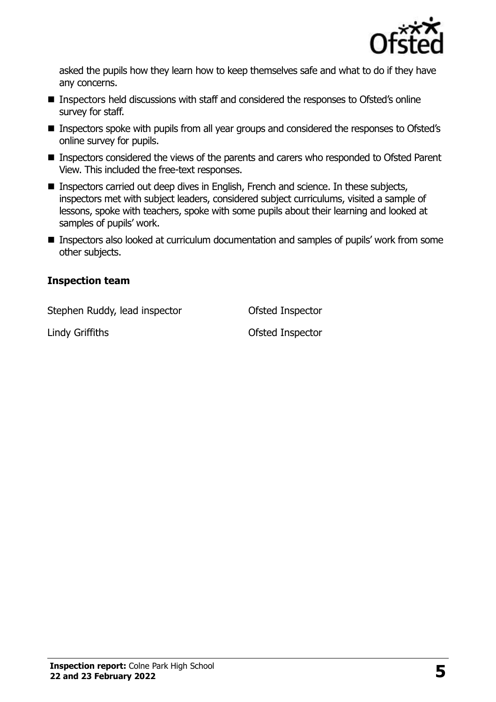

asked the pupils how they learn how to keep themselves safe and what to do if they have any concerns.

- Inspectors held discussions with staff and considered the responses to Ofsted's online survey for staff.
- Inspectors spoke with pupils from all year groups and considered the responses to Ofsted's online survey for pupils.
- Inspectors considered the views of the parents and carers who responded to Ofsted Parent View. This included the free-text responses.
- Inspectors carried out deep dives in English, French and science. In these subjects, inspectors met with subject leaders, considered subject curriculums, visited a sample of lessons, spoke with teachers, spoke with some pupils about their learning and looked at samples of pupils' work.
- Inspectors also looked at curriculum documentation and samples of pupils' work from some other subjects.

#### **Inspection team**

Stephen Ruddy, lead inspector **Ofsted Inspector** 

Lindy Griffiths Ofsted Inspector